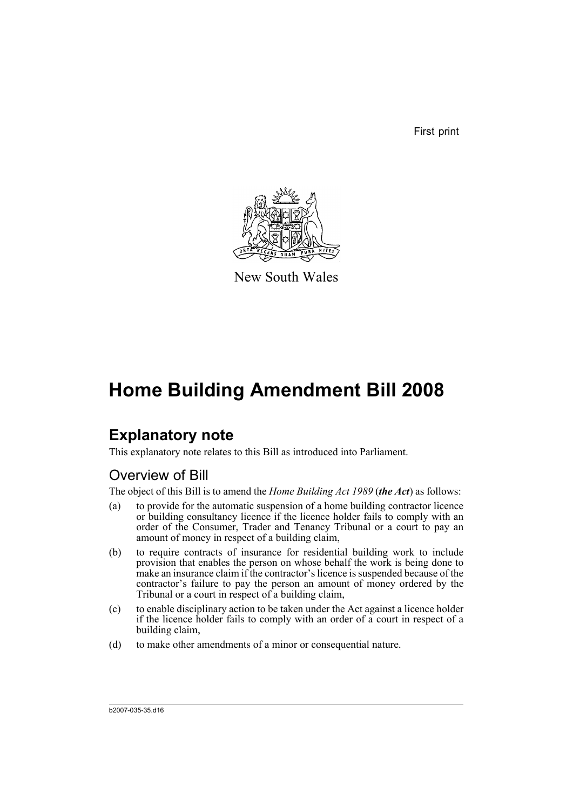First print



New South Wales

## **Home Building Amendment Bill 2008**

## **Explanatory note**

This explanatory note relates to this Bill as introduced into Parliament.

## Overview of Bill

The object of this Bill is to amend the *Home Building Act 1989* (*the Act*) as follows:

- (a) to provide for the automatic suspension of a home building contractor licence or building consultancy licence if the licence holder fails to comply with an order of the Consumer, Trader and Tenancy Tribunal or a court to pay an amount of money in respect of a building claim,
- (b) to require contracts of insurance for residential building work to include provision that enables the person on whose behalf the work is being done to make an insurance claim if the contractor's licence is suspended because of the contractor's failure to pay the person an amount of money ordered by the Tribunal or a court in respect of a building claim,
- (c) to enable disciplinary action to be taken under the Act against a licence holder if the licence holder fails to comply with an order of a court in respect of a building claim,
- (d) to make other amendments of a minor or consequential nature.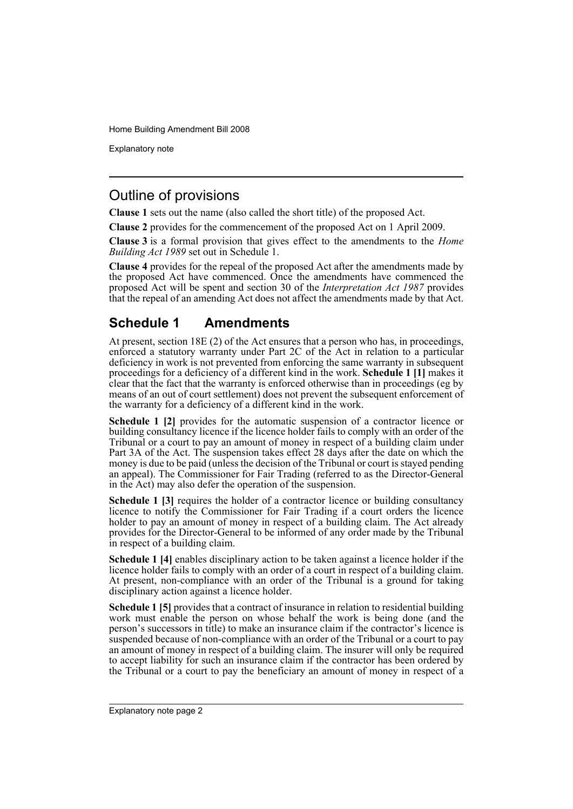Explanatory note

### Outline of provisions

**Clause 1** sets out the name (also called the short title) of the proposed Act.

**Clause 2** provides for the commencement of the proposed Act on 1 April 2009.

**Clause 3** is a formal provision that gives effect to the amendments to the *Home Building Act 1989* set out in Schedule 1.

**Clause 4** provides for the repeal of the proposed Act after the amendments made by the proposed Act have commenced. Once the amendments have commenced the proposed Act will be spent and section 30 of the *Interpretation Act 1987* provides that the repeal of an amending Act does not affect the amendments made by that Act.

## **Schedule 1 Amendments**

At present, section 18E (2) of the Act ensures that a person who has, in proceedings, enforced a statutory warranty under Part 2C of the Act in relation to a particular deficiency in work is not prevented from enforcing the same warranty in subsequent proceedings for a deficiency of a different kind in the work. **Schedule 1 [1]** makes it clear that the fact that the warranty is enforced otherwise than in proceedings (eg by means of an out of court settlement) does not prevent the subsequent enforcement of the warranty for a deficiency of a different kind in the work.

**Schedule 1 [2]** provides for the automatic suspension of a contractor licence or building consultancy licence if the licence holder fails to comply with an order of the Tribunal or a court to pay an amount of money in respect of a building claim under Part 3A of the Act. The suspension takes effect 28 days after the date on which the money is due to be paid (unless the decision of the Tribunal or court is stayed pending an appeal). The Commissioner for Fair Trading (referred to as the Director-General in the Act) may also defer the operation of the suspension.

**Schedule 1 [3]** requires the holder of a contractor licence or building consultancy licence to notify the Commissioner for Fair Trading if a court orders the licence holder to pay an amount of money in respect of a building claim. The Act already provides for the Director-General to be informed of any order made by the Tribunal in respect of a building claim.

**Schedule 1 [4]** enables disciplinary action to be taken against a licence holder if the licence holder fails to comply with an order of a court in respect of a building claim. At present, non-compliance with an order of the Tribunal is a ground for taking disciplinary action against a licence holder.

**Schedule 1 [5]** provides that a contract of insurance in relation to residential building work must enable the person on whose behalf the work is being done (and the person's successors in title) to make an insurance claim if the contractor's licence is suspended because of non-compliance with an order of the Tribunal or a court to pay an amount of money in respect of a building claim. The insurer will only be required to accept liability for such an insurance claim if the contractor has been ordered by the Tribunal or a court to pay the beneficiary an amount of money in respect of a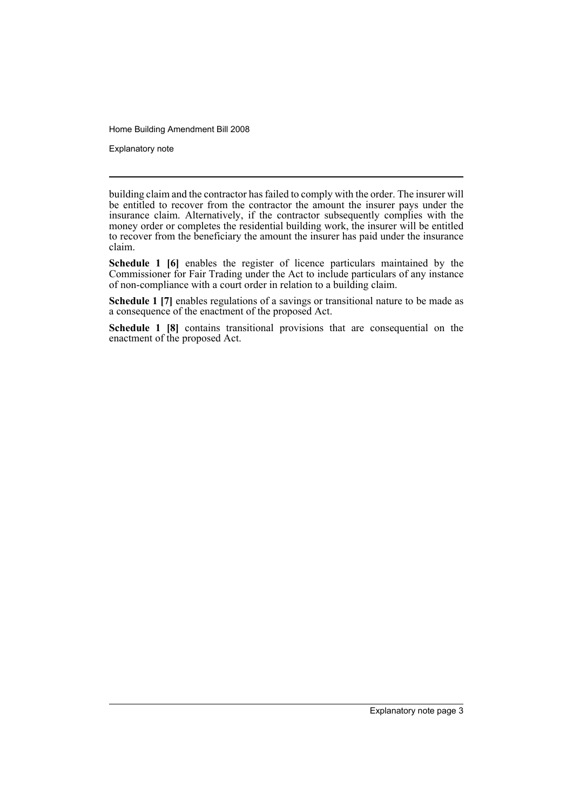Explanatory note

building claim and the contractor has failed to comply with the order. The insurer will be entitled to recover from the contractor the amount the insurer pays under the insurance claim. Alternatively, if the contractor subsequently complies with the money order or completes the residential building work, the insurer will be entitled to recover from the beneficiary the amount the insurer has paid under the insurance claim.

**Schedule 1 [6]** enables the register of licence particulars maintained by the Commissioner for Fair Trading under the Act to include particulars of any instance of non-compliance with a court order in relation to a building claim.

**Schedule 1 [7]** enables regulations of a savings or transitional nature to be made as a consequence of the enactment of the proposed Act.

**Schedule 1 [8]** contains transitional provisions that are consequential on the enactment of the proposed Act.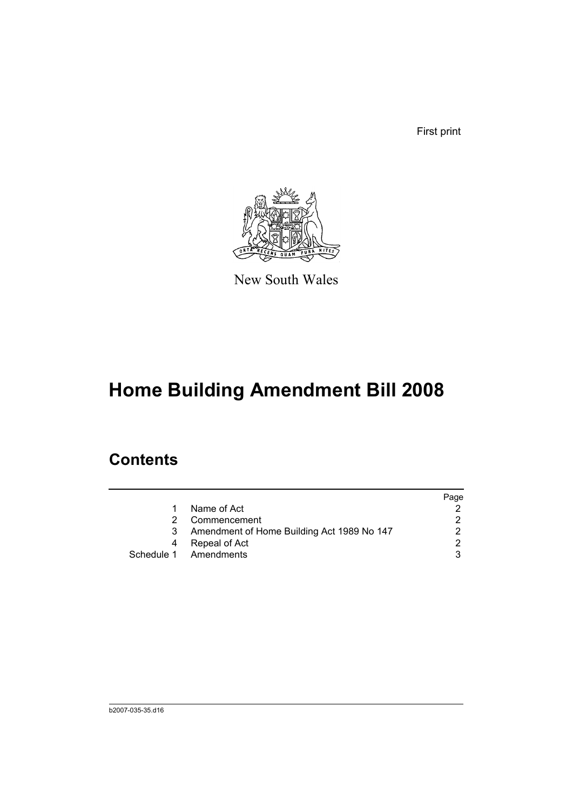First print



New South Wales

# **Home Building Amendment Bill 2008**

## **Contents**

|   |                                            | Page |
|---|--------------------------------------------|------|
|   | Name of Act                                |      |
|   | Commencement                               |      |
| 3 | Amendment of Home Building Act 1989 No 147 |      |
| 4 | Repeal of Act                              | 2    |
|   | Schedule 1 Amendments                      |      |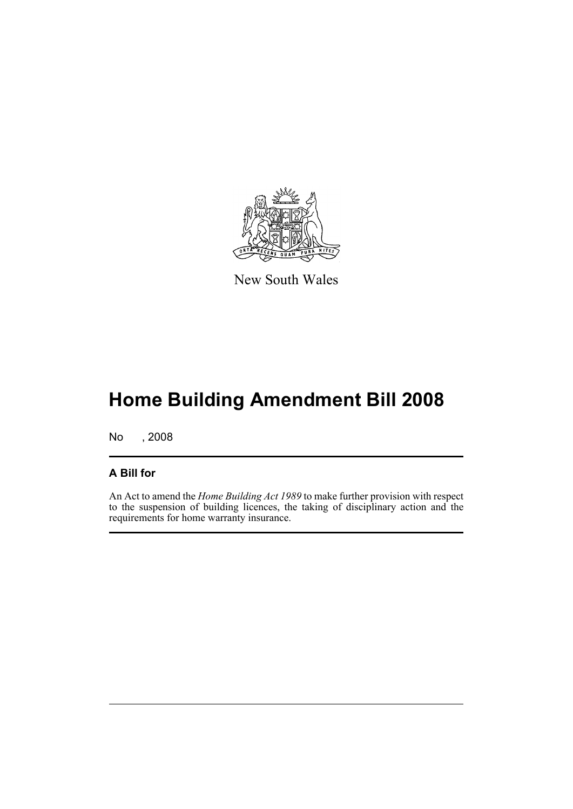

New South Wales

## **Home Building Amendment Bill 2008**

No , 2008

### **A Bill for**

An Act to amend the *Home Building Act 1989* to make further provision with respect to the suspension of building licences, the taking of disciplinary action and the requirements for home warranty insurance.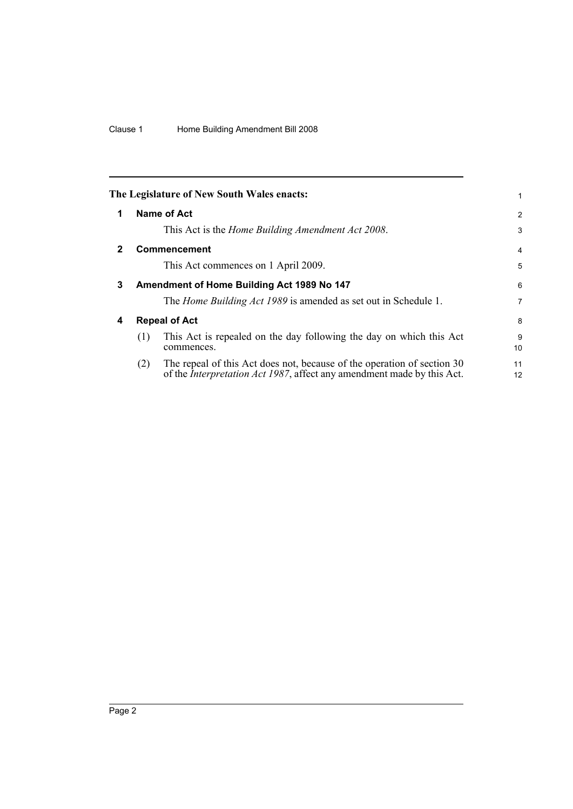<span id="page-7-3"></span><span id="page-7-2"></span><span id="page-7-1"></span><span id="page-7-0"></span>

|              |                                            | The Legislature of New South Wales enacts:                                                                                                                | 1              |
|--------------|--------------------------------------------|-----------------------------------------------------------------------------------------------------------------------------------------------------------|----------------|
| 1            |                                            | Name of Act                                                                                                                                               | $\overline{2}$ |
|              |                                            | This Act is the <i>Home Building Amendment Act 2008</i> .                                                                                                 | 3              |
| $\mathbf{2}$ |                                            | <b>Commencement</b>                                                                                                                                       | $\overline{4}$ |
|              |                                            | This Act commences on 1 April 2009.                                                                                                                       | 5              |
| 3            | Amendment of Home Building Act 1989 No 147 |                                                                                                                                                           |                |
|              |                                            | The <i>Home Building Act 1989</i> is amended as set out in Schedule 1.                                                                                    | 7              |
| 4            | <b>Repeal of Act</b>                       |                                                                                                                                                           |                |
|              | (1)                                        | This Act is repealed on the day following the day on which this Act<br>commences.                                                                         | 9<br>10        |
|              | (2)                                        | The repeal of this Act does not, because of the operation of section 30<br>of the <i>Interpretation Act 1987</i> , affect any amendment made by this Act. | 11<br>12       |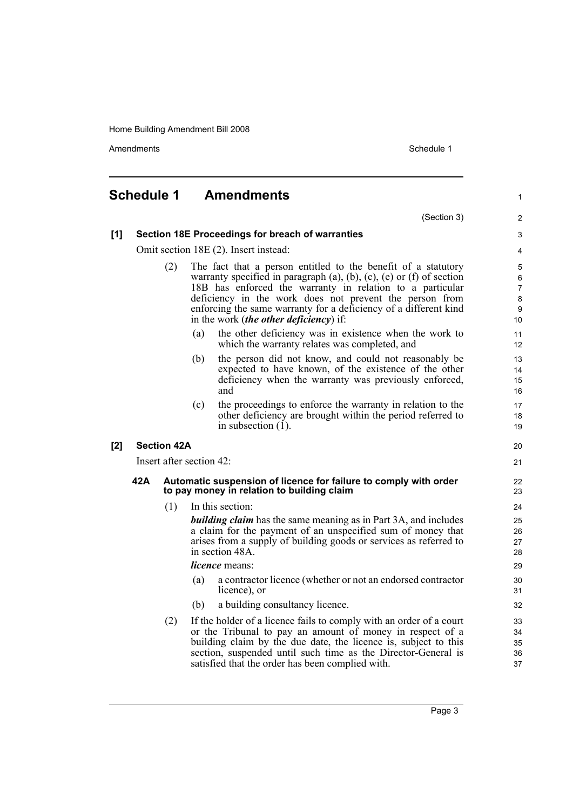Amendments Schedule 1

<span id="page-8-0"></span>

|     | <b>Schedule 1</b>                                                                                                     |     |     | <b>Amendments</b>                                                                                                                                                                                                                                                                                                                                                                        | $\mathbf{1}$                |
|-----|-----------------------------------------------------------------------------------------------------------------------|-----|-----|------------------------------------------------------------------------------------------------------------------------------------------------------------------------------------------------------------------------------------------------------------------------------------------------------------------------------------------------------------------------------------------|-----------------------------|
|     |                                                                                                                       |     |     | (Section 3)                                                                                                                                                                                                                                                                                                                                                                              | 2                           |
| [1] | Section 18E Proceedings for breach of warranties                                                                      |     |     |                                                                                                                                                                                                                                                                                                                                                                                          | 3                           |
|     | Omit section 18E (2). Insert instead:                                                                                 |     |     |                                                                                                                                                                                                                                                                                                                                                                                          | 4                           |
|     | (2)                                                                                                                   |     |     | The fact that a person entitled to the benefit of a statutory<br>warranty specified in paragraph $(a)$ , $(b)$ , $(c)$ , $(e)$ or $(f)$ of section<br>18B has enforced the warranty in relation to a particular<br>deficiency in the work does not prevent the person from<br>enforcing the same warranty for a deficiency of a different kind<br>in the work (the other deficiency) if: | 5<br>6<br>7<br>8<br>9<br>10 |
|     |                                                                                                                       |     | (a) | the other deficiency was in existence when the work to<br>which the warranty relates was completed, and                                                                                                                                                                                                                                                                                  | 11<br>12                    |
|     |                                                                                                                       |     | (b) | the person did not know, and could not reasonably be<br>expected to have known, of the existence of the other<br>deficiency when the warranty was previously enforced,<br>and                                                                                                                                                                                                            | 13<br>14<br>15<br>16        |
|     |                                                                                                                       |     | (c) | the proceedings to enforce the warranty in relation to the<br>other deficiency are brought within the period referred to<br>in subsection $(1)$ .                                                                                                                                                                                                                                        | 17<br>18<br>19              |
| [2] | <b>Section 42A</b>                                                                                                    |     |     |                                                                                                                                                                                                                                                                                                                                                                                          | 20                          |
|     | Insert after section 42:                                                                                              |     |     |                                                                                                                                                                                                                                                                                                                                                                                          | 21                          |
|     | 42A<br>Automatic suspension of licence for failure to comply with order<br>to pay money in relation to building claim |     |     |                                                                                                                                                                                                                                                                                                                                                                                          | 22<br>23                    |
|     |                                                                                                                       | (1) |     | In this section:                                                                                                                                                                                                                                                                                                                                                                         | 24                          |
|     |                                                                                                                       |     |     | <b>building claim</b> has the same meaning as in Part 3A, and includes<br>a claim for the payment of an unspecified sum of money that<br>arises from a supply of building goods or services as referred to<br>in section 48A.                                                                                                                                                            | 25<br>26<br>27<br>28        |
|     |                                                                                                                       |     |     | <i>licence</i> means:                                                                                                                                                                                                                                                                                                                                                                    | 29                          |
|     |                                                                                                                       |     | (a) | a contractor licence (whether or not an endorsed contractor<br>licence), or                                                                                                                                                                                                                                                                                                              | 30<br>31                    |
|     |                                                                                                                       |     | (b) | a building consultancy licence.                                                                                                                                                                                                                                                                                                                                                          | 32                          |
|     |                                                                                                                       | (2) |     | If the holder of a licence fails to comply with an order of a court<br>or the Tribunal to pay an amount of money in respect of a<br>building claim by the due date, the licence is, subject to this<br>section, suspended until such time as the Director-General is<br>satisfied that the order has been complied with.                                                                 | 33<br>34<br>35<br>36<br>37  |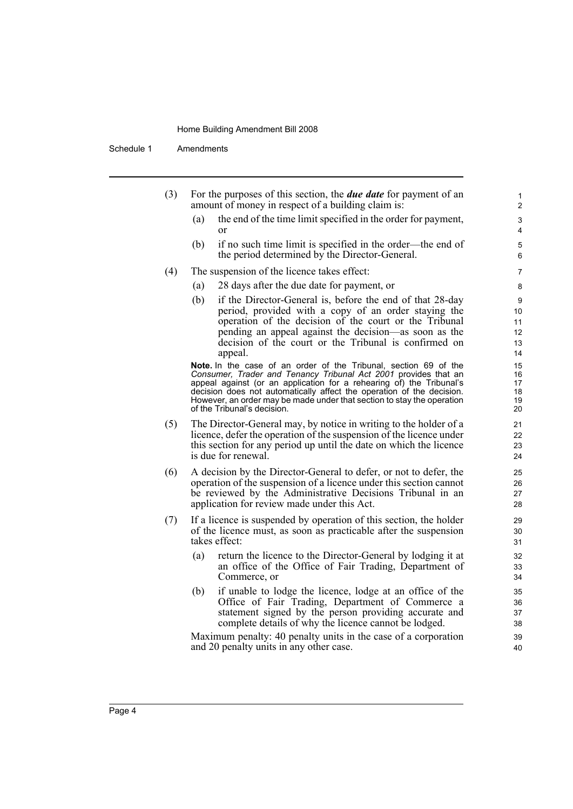Schedule 1 Amendments

| (3) | For the purposes of this section, the <i>due date</i> for payment of an |
|-----|-------------------------------------------------------------------------|
|     | amount of money in respect of a building claim is:                      |

(a) the end of the time limit specified in the order for payment, or

- (b) if no such time limit is specified in the order—the end of the period determined by the Director-General.
- (4) The suspension of the licence takes effect:
	- (a) 28 days after the due date for payment, or
	- (b) if the Director-General is, before the end of that 28-day period, provided with a copy of an order staying the operation of the decision of the court or the Tribunal pending an appeal against the decision—as soon as the decision of the court or the Tribunal is confirmed on appeal.

**Note.** In the case of an order of the Tribunal, section 69 of the *Consumer, Trader and Tenancy Tribunal Act 2001* provides that an appeal against (or an application for a rehearing of) the Tribunal's decision does not automatically affect the operation of the decision. However, an order may be made under that section to stay the operation of the Tribunal's decision.

- (5) The Director-General may, by notice in writing to the holder of a licence, defer the operation of the suspension of the licence under this section for any period up until the date on which the licence is due for renewal.
- (6) A decision by the Director-General to defer, or not to defer, the operation of the suspension of a licence under this section cannot be reviewed by the Administrative Decisions Tribunal in an application for review made under this Act.
- (7) If a licence is suspended by operation of this section, the holder of the licence must, as soon as practicable after the suspension takes effect:
	- (a) return the licence to the Director-General by lodging it at an office of the Office of Fair Trading, Department of Commerce, or
	- (b) if unable to lodge the licence, lodge at an office of the Office of Fair Trading, Department of Commerce a statement signed by the person providing accurate and complete details of why the licence cannot be lodged.

Maximum penalty: 40 penalty units in the case of a corporation and 20 penalty units in any other case.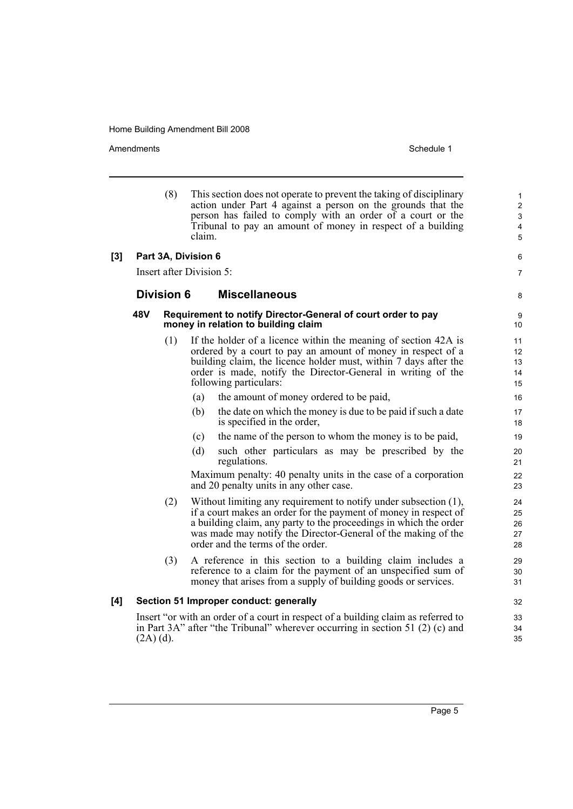Amendments Schedule 1

|     |             | (8)               | This section does not operate to prevent the taking of disciplinary<br>action under Part 4 against a person on the grounds that the<br>person has failed to comply with an order of a court or the<br>Tribunal to pay an amount of money in respect of a building<br>claim.                                     | 1<br>2<br>3<br>$\overline{\mathbf{4}}$<br>5 |
|-----|-------------|-------------------|-----------------------------------------------------------------------------------------------------------------------------------------------------------------------------------------------------------------------------------------------------------------------------------------------------------------|---------------------------------------------|
| [3] |             |                   | Part 3A, Division 6                                                                                                                                                                                                                                                                                             | 6                                           |
|     |             |                   | <b>Insert after Division 5:</b>                                                                                                                                                                                                                                                                                 | $\overline{7}$                              |
|     |             | <b>Division 6</b> | <b>Miscellaneous</b>                                                                                                                                                                                                                                                                                            | 8                                           |
|     | 48V         |                   | Requirement to notify Director-General of court order to pay<br>money in relation to building claim                                                                                                                                                                                                             | 9<br>10                                     |
|     |             | (1)               | If the holder of a licence within the meaning of section 42A is<br>ordered by a court to pay an amount of money in respect of a<br>building claim, the licence holder must, within 7 days after the<br>order is made, notify the Director-General in writing of the<br>following particulars:                   | 11<br>12<br>13<br>14<br>15                  |
|     |             |                   | (a)<br>the amount of money ordered to be paid,                                                                                                                                                                                                                                                                  | 16                                          |
|     |             |                   | the date on which the money is due to be paid if such a date<br>(b)<br>is specified in the order,                                                                                                                                                                                                               | 17<br>18                                    |
|     |             |                   | the name of the person to whom the money is to be paid,<br>(c)                                                                                                                                                                                                                                                  | 19                                          |
|     |             |                   | such other particulars as may be prescribed by the<br>(d)<br>regulations.                                                                                                                                                                                                                                       | 20<br>21                                    |
|     |             |                   | Maximum penalty: 40 penalty units in the case of a corporation<br>and 20 penalty units in any other case.                                                                                                                                                                                                       | 22<br>23                                    |
|     |             | (2)               | Without limiting any requirement to notify under subsection (1),<br>if a court makes an order for the payment of money in respect of<br>a building claim, any party to the proceedings in which the order<br>was made may notify the Director-General of the making of the<br>order and the terms of the order. | 24<br>25<br>26<br>27<br>28                  |
|     |             | (3)               | A reference in this section to a building claim includes a<br>reference to a claim for the payment of an unspecified sum of<br>money that arises from a supply of building goods or services.                                                                                                                   | 29<br>30<br>31                              |
| [4] |             |                   | Section 51 Improper conduct: generally                                                                                                                                                                                                                                                                          | 32                                          |
|     | $(2A)$ (d). |                   | Insert "or with an order of a court in respect of a building claim as referred to<br>in Part 3A" after "the Tribunal" wherever occurring in section 51 (2) (c) and                                                                                                                                              | 33<br>34<br>35                              |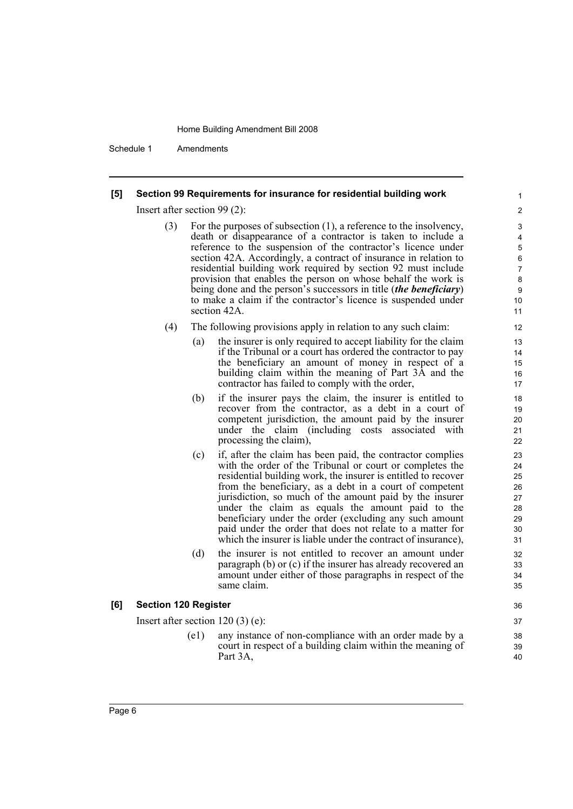Schedule 1 Amendments

### **[5] Section 99 Requirements for insurance for residential building work**

Insert after section 99 (2):

(3) For the purposes of subsection (1), a reference to the insolvency, death or disappearance of a contractor is taken to include a reference to the suspension of the contractor's licence under section 42A. Accordingly, a contract of insurance in relation to residential building work required by section 92 must include provision that enables the person on whose behalf the work is being done and the person's successors in title (*the beneficiary*) to make a claim if the contractor's licence is suspended under section 42A.

- (4) The following provisions apply in relation to any such claim:
	- (a) the insurer is only required to accept liability for the claim if the Tribunal or a court has ordered the contractor to pay the beneficiary an amount of money in respect of a building claim within the meaning of Part 3A and the contractor has failed to comply with the order,
	- (b) if the insurer pays the claim, the insurer is entitled to recover from the contractor, as a debt in a court of competent jurisdiction, the amount paid by the insurer under the claim (including costs associated with processing the claim),
	- (c) if, after the claim has been paid, the contractor complies with the order of the Tribunal or court or completes the residential building work, the insurer is entitled to recover from the beneficiary, as a debt in a court of competent jurisdiction, so much of the amount paid by the insurer under the claim as equals the amount paid to the beneficiary under the order (excluding any such amount paid under the order that does not relate to a matter for which the insurer is liable under the contract of insurance),
	- (d) the insurer is not entitled to recover an amount under paragraph (b) or (c) if the insurer has already recovered an amount under either of those paragraphs in respect of the same claim.

### **[6] Section 120 Register**

Insert after section 120 (3) (e):

(e1) any instance of non-compliance with an order made by a court in respect of a building claim within the meaning of Part 3A,